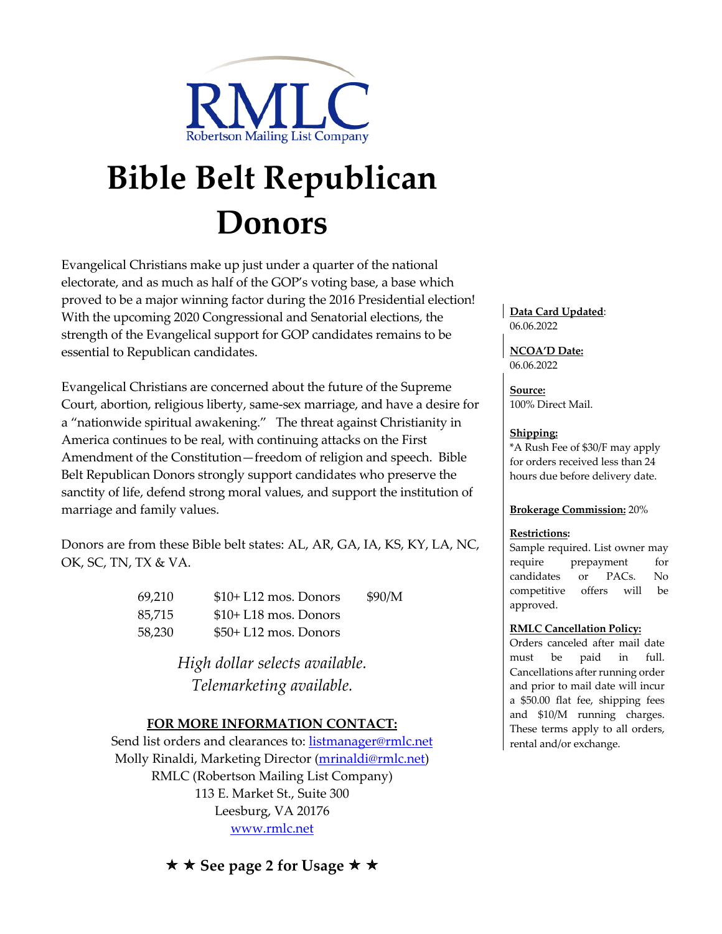

# **Bible Belt Republican Donors**

Evangelical Christians make up just under a quarter of the national electorate, and as much as half of the GOP's voting base, a base which proved to be a major winning factor during the 2016 Presidential election! With the upcoming 2020 Congressional and Senatorial elections, the strength of the Evangelical support for GOP candidates remains to be essential to Republican candidates.

Evangelical Christians are concerned about the future of the Supreme Court, abortion, religious liberty, same-sex marriage, and have a desire for a "nationwide spiritual awakening." The threat against Christianity in America continues to be real, with continuing attacks on the First Amendment of the Constitution—freedom of religion and speech. Bible Belt Republican Donors strongly support candidates who preserve the sanctity of life, defend strong moral values, and support the institution of marriage and family values.

Donors are from these Bible belt states: AL, AR, GA, IA, KS, KY, LA, NC, OK, SC, TN, TX & VA.

| 69,210 | $$10+L12$ mos. Donors | \$90/M |
|--------|-----------------------|--------|
| 85,715 | $$10+L18$ mos. Donors |        |
| 58,230 | $$50+L12$ mos. Donors |        |

*High dollar selects available. Telemarketing available.*

# **FOR MORE INFORMATION CONTACT:**

Send list orders and clearances to: listmanager@rmlc.net Molly Rinaldi, Marketing Director (mrinaldi@rmlc.net) RMLC (Robertson Mailing List Company) 113 E. Market St., Suite 300 Leesburg, VA 20176 www.rmlc.net

**★ ★ See page 2 for Usage ★ ★** 

**Data Card Updated**: 06.06.2022

**NCOA'D Date:** 06.06.2022

**Source:** 100% Direct Mail.

#### **Shipping:**

\*A Rush Fee of \$30/F may apply for orders received less than 24 hours due before delivery date.

#### **Brokerage Commission:** 20%

#### **Restrictions:**

Sample required. List owner may require prepayment for candidates or PACs. No competitive offers will be approved.

### **RMLC Cancellation Policy:**

Orders canceled after mail date must be paid in full. Cancellations after running order and prior to mail date will incur a \$50.00 flat fee, shipping fees and \$10/M running charges. These terms apply to all orders, rental and/or exchange.